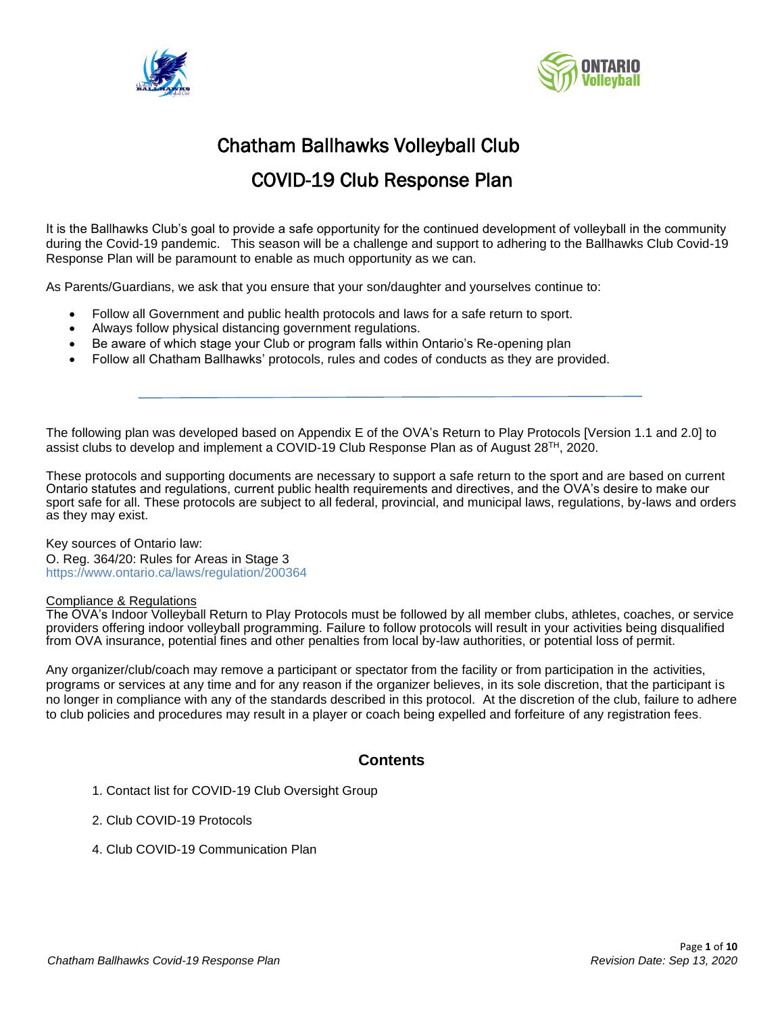



# Chatham Ballhawks Volleyball Club COVID-19 Club Response Plan

It is the Ballhawks Club's goal to provide a safe opportunity for the continued development of volleyball in the community during the Covid-19 pandemic. This season will be a challenge and support to adhering to the Ballhawks Club Covid-19 Response Plan will be paramount to enable as much opportunity as we can.

As Parents/Guardians, we ask that you ensure that your son/daughter and yourselves continue to:

- Follow all Government and public health protocols and laws for a safe return to sport.
- Always follow physical distancing government regulations.
- Be aware of which stage your Club or program falls within Ontario's Re-opening plan
- Follow all Chatham Ballhawks' protocols, rules and codes of conducts as they are provided.

The following plan was developed based on Appendix E of the OVA's Return to Play Protocols [Version 1.1 and 2.0] to assist clubs to develop and implement a COVID-19 Club Response Plan as of August 28TH, 2020.

These protocols and supporting documents are necessary to support a safe return to the sport and are based on current Ontario statutes and regulations, current public health requirements and directives, and the OVA's desire to make our sport safe for all. These protocols are subject to all federal, provincial, and municipal laws, regulations, by-laws and orders as they may exist.

Key sources of Ontario law: O. Reg. 364/20: Rules for Areas in Stage 3 https://www.ontario.ca/laws/regulation/200364

#### Compliance & Regulations

The OVA's Indoor Volleyball Return to Play Protocols must be followed by all member clubs, athletes, coaches, or service providers offering indoor volleyball programming. Failure to follow protocols will result in your activities being disqualified from OVA insurance, potential fines and other penalties from local by-law authorities, or potential loss of permit.

Any organizer/club/coach may remove a participant or spectator from the facility or from participation in the activities, programs or services at any time and for any reason if the organizer believes, in its sole discretion, that the participant is no longer in compliance with any of the standards described in this protocol. At the discretion of the club, failure to adhere to club policies and procedures may result in a player or coach being expelled and forfeiture of any registration fees.

#### **Contents**

- 1. Contact list for COVID-19 Club Oversight Group
- 2. Club COVID-19 Protocols
- 4. Club COVID-19 Communication Plan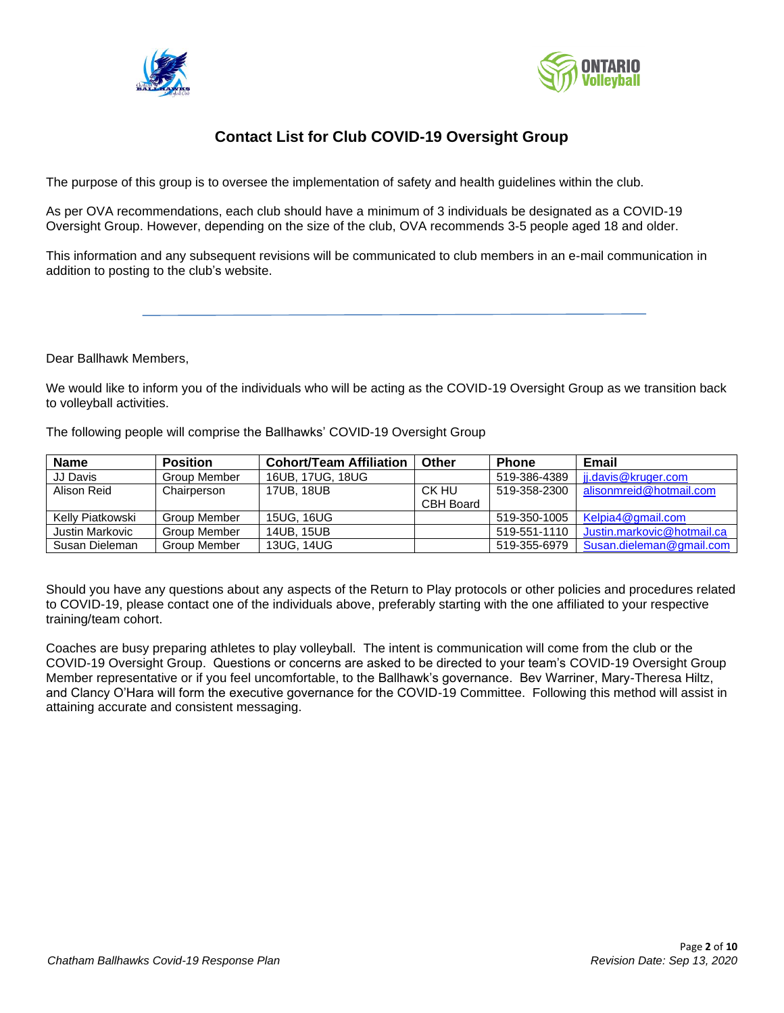



## **Contact List for Club COVID-19 Oversight Group**

The purpose of this group is to oversee the implementation of safety and health guidelines within the club.

As per OVA recommendations, each club should have a minimum of 3 individuals be designated as a COVID-19 Oversight Group. However, depending on the size of the club, OVA recommends 3-5 people aged 18 and older.

This information and any subsequent revisions will be communicated to club members in an e-mail communication in addition to posting to the club's website.

Dear Ballhawk Members,

We would like to inform you of the individuals who will be acting as the COVID-19 Oversight Group as we transition back to volleyball activities.

The following people will comprise the Ballhawks' COVID-19 Oversight Group

| <b>Name</b>      | <b>Position</b> | <b>Cohort/Team Affiliation</b> | Other     | <b>Phone</b> | Email                      |
|------------------|-----------------|--------------------------------|-----------|--------------|----------------------------|
| JJ Davis         | Group Member    | 16UB, 17UG, 18UG               |           | 519-386-4389 | ij.davis@kruger.com        |
| Alison Reid      | Chairperson     | 17UB, 18UB                     | CK HU     | 519-358-2300 | alisonmreid@hotmail.com    |
|                  |                 |                                | CBH Board |              |                            |
| Kelly Piatkowski | Group Member    | 15UG, 16UG                     |           | 519-350-1005 | Kelpia4@gmail.com          |
| Justin Markovic  | Group Member    | 14UB, 15UB                     |           | 519-551-1110 | Justin.markovic@hotmail.ca |
| Susan Dieleman   | Group Member    | 13UG, 14UG                     |           | 519-355-6979 | Susan.dieleman@gmail.com   |

Should you have any questions about any aspects of the Return to Play protocols or other policies and procedures related to COVID-19, please contact one of the individuals above, preferably starting with the one affiliated to your respective training/team cohort.

Coaches are busy preparing athletes to play volleyball. The intent is communication will come from the club or the COVID-19 Oversight Group. Questions or concerns are asked to be directed to your team's COVID-19 Oversight Group Member representative or if you feel uncomfortable, to the Ballhawk's governance. Bev Warriner, Mary-Theresa Hiltz, and Clancy O'Hara will form the executive governance for the COVID-19 Committee. Following this method will assist in attaining accurate and consistent messaging.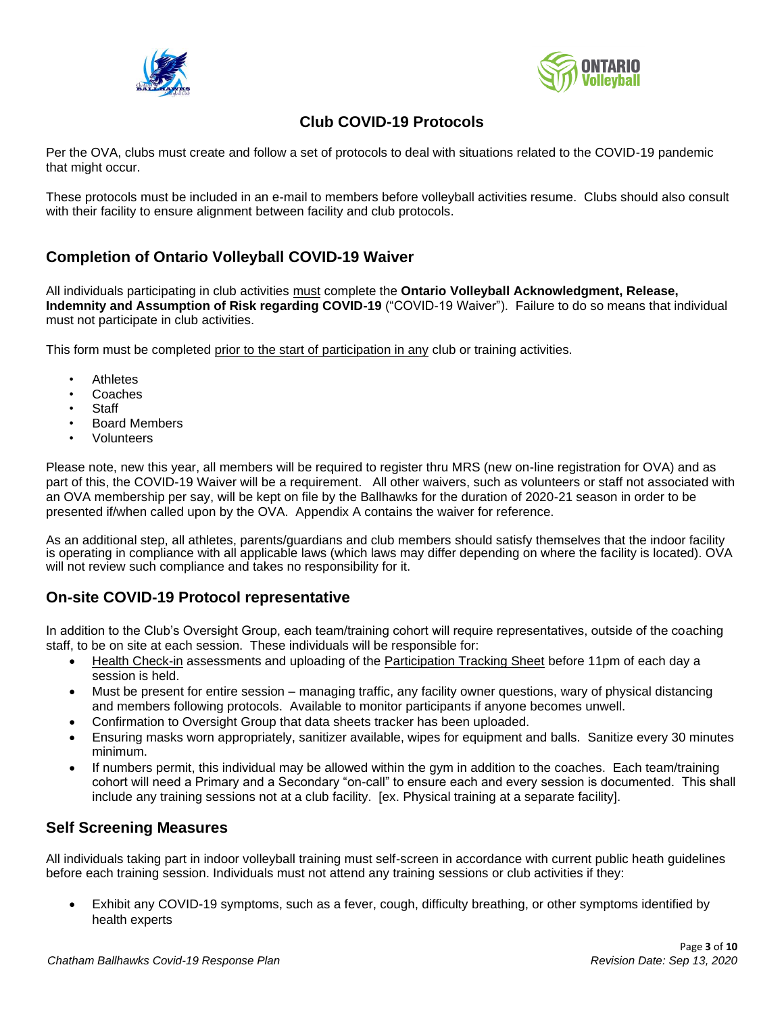



## **Club COVID-19 Protocols**

Per the OVA, clubs must create and follow a set of protocols to deal with situations related to the COVID-19 pandemic that might occur.

These protocols must be included in an e-mail to members before volleyball activities resume. Clubs should also consult with their facility to ensure alignment between facility and club protocols.

## **Completion of Ontario Volleyball COVID-19 Waiver**

All individuals participating in club activities must complete the **Ontario Volleyball Acknowledgment, Release, Indemnity and Assumption of Risk regarding COVID-19** ("COVID-19 Waiver"). Failure to do so means that individual must not participate in club activities.

This form must be completed prior to the start of participation in any club or training activities.

- **Athletes**
- Coaches
- **Staff**
- Board Members
- Volunteers

Please note, new this year, all members will be required to register thru MRS (new on-line registration for OVA) and as part of this, the COVID-19 Waiver will be a requirement. All other waivers, such as volunteers or staff not associated with an OVA membership per say, will be kept on file by the Ballhawks for the duration of 2020-21 season in order to be presented if/when called upon by the OVA. Appendix A contains the waiver for reference.

As an additional step, all athletes, parents/guardians and club members should satisfy themselves that the indoor facility is operating in compliance with all applicable laws (which laws may differ depending on where the facility is located). OVA will not review such compliance and takes no responsibility for it.

## **On-site COVID-19 Protocol representative**

In addition to the Club's Oversight Group, each team/training cohort will require representatives, outside of the coaching staff, to be on site at each session. These individuals will be responsible for:

- Health Check-in assessments and uploading of the Participation Tracking Sheet before 11pm of each day a session is held.
- Must be present for entire session managing traffic, any facility owner questions, wary of physical distancing and members following protocols. Available to monitor participants if anyone becomes unwell.
- Confirmation to Oversight Group that data sheets tracker has been uploaded.
- Ensuring masks worn appropriately, sanitizer available, wipes for equipment and balls. Sanitize every 30 minutes minimum.
- If numbers permit, this individual may be allowed within the gym in addition to the coaches. Each team/training cohort will need a Primary and a Secondary "on-call" to ensure each and every session is documented. This shall include any training sessions not at a club facility. [ex. Physical training at a separate facility].

## **Self Screening Measures**

All individuals taking part in indoor volleyball training must self-screen in accordance with current public heath guidelines before each training session. Individuals must not attend any training sessions or club activities if they:

• Exhibit any COVID-19 symptoms, such as a fever, cough, difficulty breathing, or other symptoms identified by health experts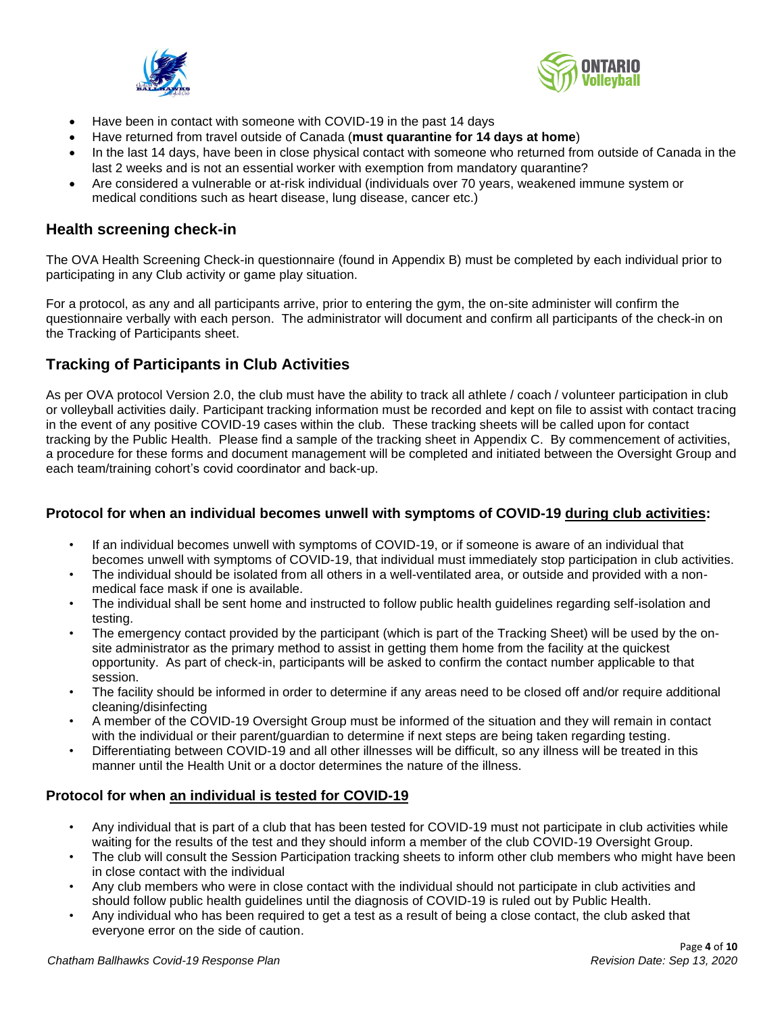



- Have been in contact with someone with COVID-19 in the past 14 days
- Have returned from travel outside of Canada (**must quarantine for 14 days at home**)
- In the last 14 days, have been in close physical contact with someone who returned from outside of Canada in the last 2 weeks and is not an essential worker with exemption from mandatory quarantine?
- Are considered a vulnerable or at-risk individual (individuals over 70 years, weakened immune system or medical conditions such as heart disease, lung disease, cancer etc.)

#### **Health screening check-in**

The OVA Health Screening Check-in questionnaire (found in Appendix B) must be completed by each individual prior to participating in any Club activity or game play situation.

For a protocol, as any and all participants arrive, prior to entering the gym, the on-site administer will confirm the questionnaire verbally with each person. The administrator will document and confirm all participants of the check-in on the Tracking of Participants sheet.

## **Tracking of Participants in Club Activities**

As per OVA protocol Version 2.0, the club must have the ability to track all athlete / coach / volunteer participation in club or volleyball activities daily. Participant tracking information must be recorded and kept on file to assist with contact tracing in the event of any positive COVID-19 cases within the club. These tracking sheets will be called upon for contact tracking by the Public Health. Please find a sample of the tracking sheet in Appendix C. By commencement of activities, a procedure for these forms and document management will be completed and initiated between the Oversight Group and each team/training cohort's covid coordinator and back-up.

#### **Protocol for when an individual becomes unwell with symptoms of COVID-19 during club activities:**

- If an individual becomes unwell with symptoms of COVID-19, or if someone is aware of an individual that becomes unwell with symptoms of COVID-19, that individual must immediately stop participation in club activities.
- The individual should be isolated from all others in a well-ventilated area, or outside and provided with a nonmedical face mask if one is available.
- The individual shall be sent home and instructed to follow public health guidelines regarding self-isolation and testing.
- The emergency contact provided by the participant (which is part of the Tracking Sheet) will be used by the onsite administrator as the primary method to assist in getting them home from the facility at the quickest opportunity. As part of check-in, participants will be asked to confirm the contact number applicable to that session.
- The facility should be informed in order to determine if any areas need to be closed off and/or require additional cleaning/disinfecting
- A member of the COVID-19 Oversight Group must be informed of the situation and they will remain in contact with the individual or their parent/guardian to determine if next steps are being taken regarding testing.
- Differentiating between COVID-19 and all other illnesses will be difficult, so any illness will be treated in this manner until the Health Unit or a doctor determines the nature of the illness.

#### **Protocol for when an individual is tested for COVID-19**

- Any individual that is part of a club that has been tested for COVID-19 must not participate in club activities while waiting for the results of the test and they should inform a member of the club COVID-19 Oversight Group.
- The club will consult the Session Participation tracking sheets to inform other club members who might have been in close contact with the individual
- Any club members who were in close contact with the individual should not participate in club activities and should follow public health guidelines until the diagnosis of COVID-19 is ruled out by Public Health.
- Any individual who has been required to get a test as a result of being a close contact, the club asked that everyone error on the side of caution.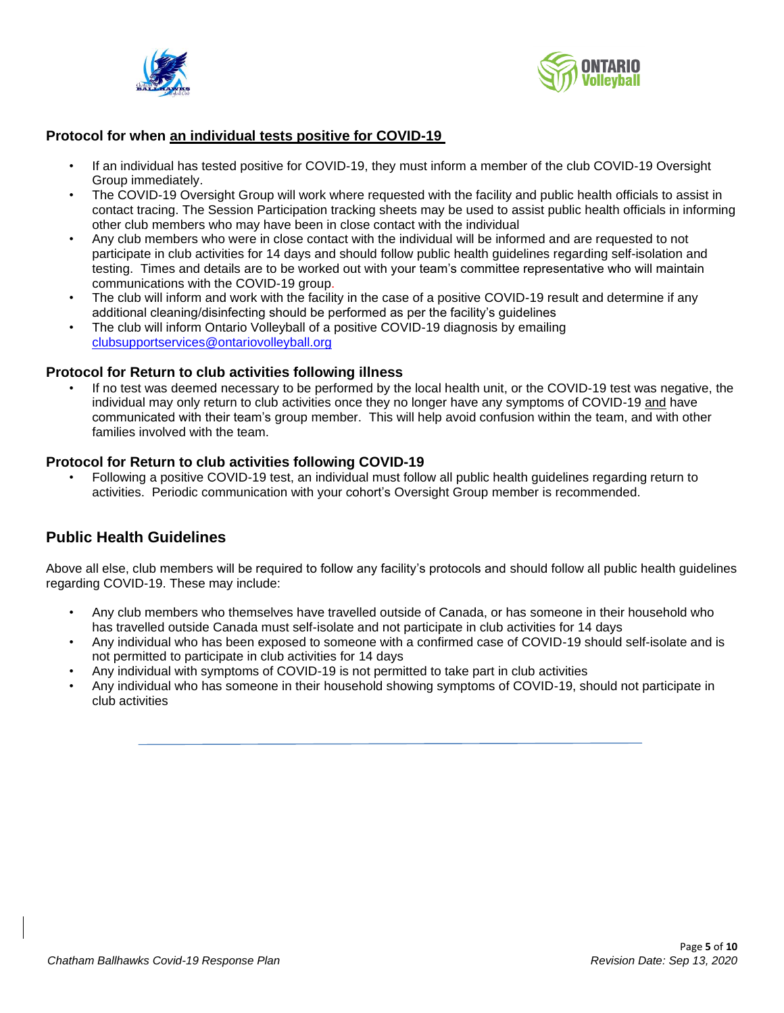



#### **Protocol for when an individual tests positive for COVID-19**

- If an individual has tested positive for COVID-19, they must inform a member of the club COVID-19 Oversight Group immediately.
- The COVID-19 Oversight Group will work where requested with the facility and public health officials to assist in contact tracing. The Session Participation tracking sheets may be used to assist public health officials in informing other club members who may have been in close contact with the individual
- Any club members who were in close contact with the individual will be informed and are requested to not participate in club activities for 14 days and should follow public health guidelines regarding self-isolation and testing. Times and details are to be worked out with your team's committee representative who will maintain communications with the COVID-19 group.
- The club will inform and work with the facility in the case of a positive COVID-19 result and determine if any additional cleaning/disinfecting should be performed as per the facility's guidelines
- The club will inform Ontario Volleyball of a positive COVID-19 diagnosis by emailing [clubsupportservices@ontariovolleyball.org](mailto:clubsupportservices@ontariovolleyball.org)

#### **Protocol for Return to club activities following illness**

If no test was deemed necessary to be performed by the local health unit, or the COVID-19 test was negative, the individual may only return to club activities once they no longer have any symptoms of COVID-19 and have communicated with their team's group member. This will help avoid confusion within the team, and with other families involved with the team.

#### **Protocol for Return to club activities following COVID-19**

• Following a positive COVID-19 test, an individual must follow all public health guidelines regarding return to activities. Periodic communication with your cohort's Oversight Group member is recommended.

#### **Public Health Guidelines**

Above all else, club members will be required to follow any facility's protocols and should follow all public health guidelines regarding COVID-19. These may include:

- Any club members who themselves have travelled outside of Canada, or has someone in their household who has travelled outside Canada must self-isolate and not participate in club activities for 14 days
- Any individual who has been exposed to someone with a confirmed case of COVID-19 should self-isolate and is not permitted to participate in club activities for 14 days
- Any individual with symptoms of COVID-19 is not permitted to take part in club activities
- Any individual who has someone in their household showing symptoms of COVID-19, should not participate in club activities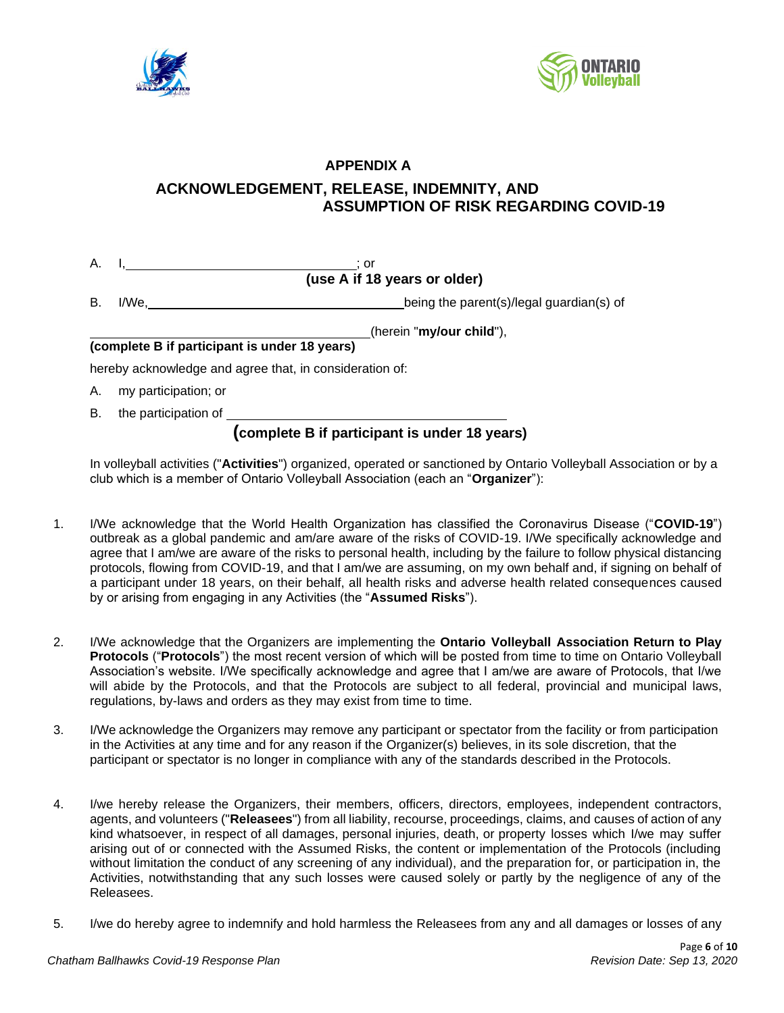



## **APPENDIX A**

## **ACKNOWLEDGEMENT, RELEASE, INDEMNITY, AND ASSUMPTION OF RISK REGARDING COVID-19**

| А. |  |                              |
|----|--|------------------------------|
|    |  | (use A if 18 years or older) |

B. I/We, Internal guardian of the parent (s)/legal guardian(s) of

(herein "**my/our child**"),

#### **(complete B if participant is under 18 years)**

hereby acknowledge and agree that, in consideration of:

- A. my participation; or
- B. the participation of

## **(complete B if participant is under 18 years)**

In volleyball activities ("**Activities**") organized, operated or sanctioned by Ontario Volleyball Association or by a club which is a member of Ontario Volleyball Association (each an "**Organizer**"):

- 1. I/We acknowledge that the World Health Organization has classified the Coronavirus Disease ("**COVID-19**") outbreak as a global pandemic and am/are aware of the risks of COVID-19. I/We specifically acknowledge and agree that I am/we are aware of the risks to personal health, including by the failure to follow physical distancing protocols, flowing from COVID-19, and that I am/we are assuming, on my own behalf and, if signing on behalf of a participant under 18 years, on their behalf, all health risks and adverse health related consequences caused by or arising from engaging in any Activities (the "**Assumed Risks**").
- 2. I/We acknowledge that the Organizers are implementing the **Ontario Volleyball Association Return to Play Protocols** ("**Protocols**") the most recent version of which will be posted from time to time on Ontario Volleyball Association's website. I/We specifically acknowledge and agree that I am/we are aware of Protocols, that I/we will abide by the Protocols, and that the Protocols are subject to all federal, provincial and municipal laws, regulations, by-laws and orders as they may exist from time to time.
- 3. I/We acknowledge the Organizers may remove any participant or spectator from the facility or from participation in the Activities at any time and for any reason if the Organizer(s) believes, in its sole discretion, that the participant or spectator is no longer in compliance with any of the standards described in the Protocols.
- 4. I/we hereby release the Organizers, their members, officers, directors, employees, independent contractors, agents, and volunteers ("**Releasees**") from all liability, recourse, proceedings, claims, and causes of action of any kind whatsoever, in respect of all damages, personal injuries, death, or property losses which I/we may suffer arising out of or connected with the Assumed Risks, the content or implementation of the Protocols (including without limitation the conduct of any screening of any individual), and the preparation for, or participation in, the Activities, notwithstanding that any such losses were caused solely or partly by the negligence of any of the Releasees.
- 5. I/we do hereby agree to indemnify and hold harmless the Releasees from any and all damages or losses of any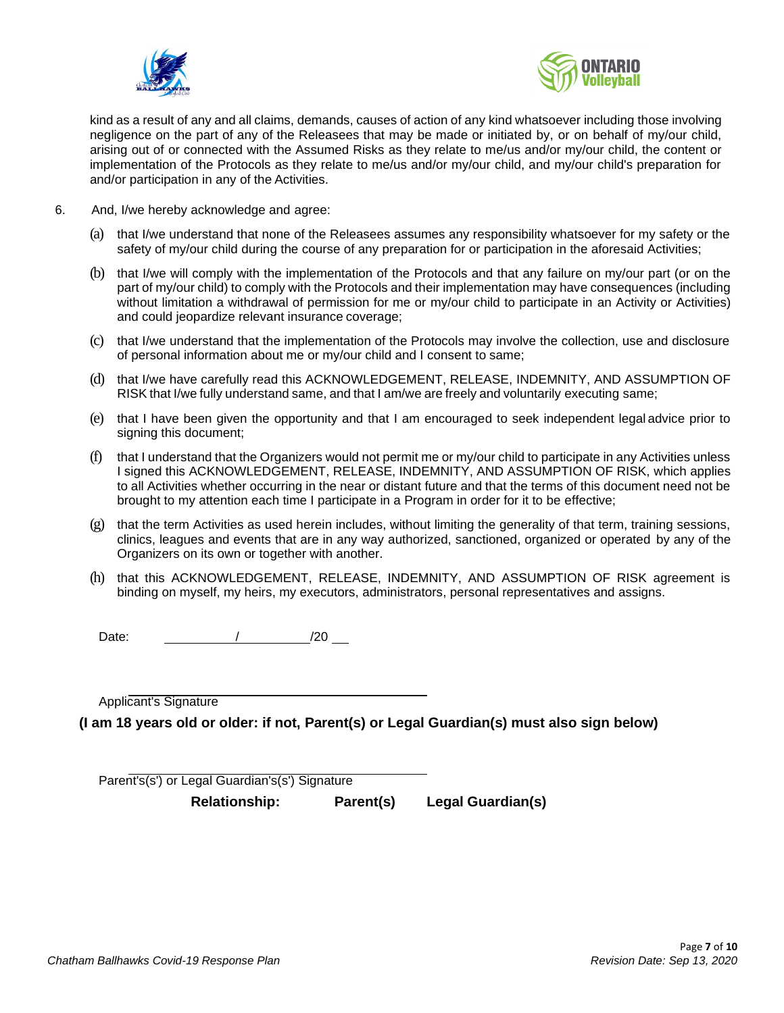



kind as a result of any and all claims, demands, causes of action of any kind whatsoever including those involving negligence on the part of any of the Releasees that may be made or initiated by, or on behalf of my/our child, arising out of or connected with the Assumed Risks as they relate to me/us and/or my/our child, the content or implementation of the Protocols as they relate to me/us and/or my/our child, and my/our child's preparation for and/or participation in any of the Activities.

- 6. And, I/we hereby acknowledge and agree:
	- (a) that I/we understand that none of the Releasees assumes any responsibility whatsoever for my safety or the safety of my/our child during the course of any preparation for or participation in the aforesaid Activities;
	- (b) that I/we will comply with the implementation of the Protocols and that any failure on my/our part (or on the part of my/our child) to comply with the Protocols and their implementation may have consequences (including without limitation a withdrawal of permission for me or my/our child to participate in an Activity or Activities) and could jeopardize relevant insurance coverage;
	- (c) that I/we understand that the implementation of the Protocols may involve the collection, use and disclosure of personal information about me or my/our child and I consent to same;
	- (d) that I/we have carefully read this ACKNOWLEDGEMENT, RELEASE, INDEMNITY, AND ASSUMPTION OF RISK that I/we fully understand same, and that I am/we are freely and voluntarily executing same;
	- (e) that I have been given the opportunity and that I am encouraged to seek independent legal advice prior to signing this document;
	- (f) that I understand that the Organizers would not permit me or my/our child to participate in any Activities unless I signed this ACKNOWLEDGEMENT, RELEASE, INDEMNITY, AND ASSUMPTION OF RISK, which applies to all Activities whether occurring in the near or distant future and that the terms of this document need not be brought to my attention each time I participate in a Program in order for it to be effective;
	- $(g)$  that the term Activities as used herein includes, without limiting the generality of that term, training sessions, clinics, leagues and events that are in any way authorized, sanctioned, organized or operated by any of the Organizers on its own or together with another.
	- (h) that this ACKNOWLEDGEMENT, RELEASE, INDEMNITY, AND ASSUMPTION OF RISK agreement is binding on myself, my heirs, my executors, administrators, personal representatives and assigns.

Date: / /20

Applicant's Signature

**(I am 18 years old or older: if not, Parent(s) or Legal Guardian(s) must also sign below)**

Parent's(s') or Legal Guardian's(s') Signature

**Relationship: Parent(s) Legal Guardian(s)**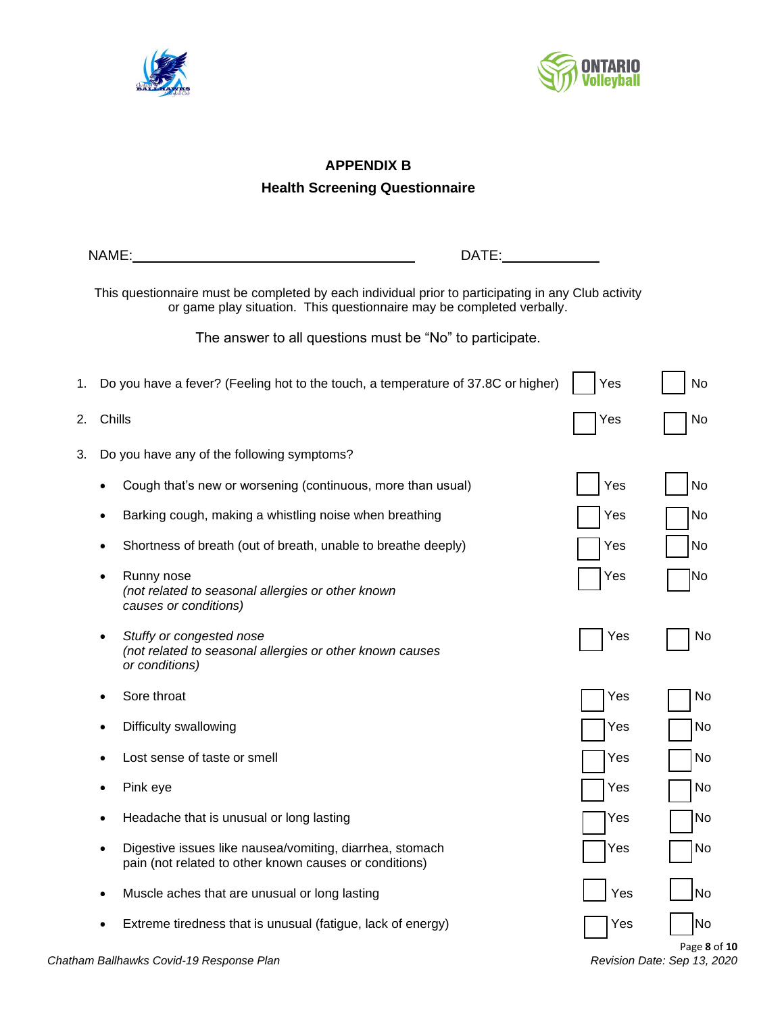



## **APPENDIX B Health Screening Questionnaire**

|    |        | DATE:<br>NAME:                                                                                                                                                               |     |                                |
|----|--------|------------------------------------------------------------------------------------------------------------------------------------------------------------------------------|-----|--------------------------------|
|    |        | This questionnaire must be completed by each individual prior to participating in any Club activity<br>or game play situation. This questionnaire may be completed verbally. |     |                                |
|    |        | The answer to all questions must be "No" to participate.                                                                                                                     |     |                                |
| 1. |        | Do you have a fever? (Feeling hot to the touch, a temperature of 37.8C or higher)                                                                                            | Yes | No                             |
| 2. | Chills |                                                                                                                                                                              | Yes | No.                            |
| 3. |        | Do you have any of the following symptoms?                                                                                                                                   |     |                                |
|    |        | Cough that's new or worsening (continuous, more than usual)                                                                                                                  | Yes | No                             |
|    |        | Barking cough, making a whistling noise when breathing                                                                                                                       | Yes | No                             |
|    |        | Shortness of breath (out of breath, unable to breathe deeply)                                                                                                                | Yes | No                             |
|    |        | Runny nose<br>(not related to seasonal allergies or other known<br>causes or conditions)                                                                                     | Yes | No                             |
|    |        | Stuffy or congested nose<br>(not related to seasonal allergies or other known causes<br>or conditions)                                                                       | Yes | No                             |
|    |        | Sore throat                                                                                                                                                                  | Yes | No                             |
|    |        | Difficulty swallowing                                                                                                                                                        | Yes | No                             |
|    |        | Lost sense of taste or smell                                                                                                                                                 | Yes | No                             |
|    |        | Pink eye                                                                                                                                                                     | Yes | No                             |
|    |        | Headache that is unusual or long lasting                                                                                                                                     | Yes | No                             |
|    | ٠      | Digestive issues like nausea/vomiting, diarrhea, stomach<br>pain (not related to other known causes or conditions)                                                           | Yes | No                             |
|    |        | Muscle aches that are unusual or long lasting                                                                                                                                | Yes | No                             |
|    |        | Extreme tiredness that is unusual (fatigue, lack of energy)                                                                                                                  | Yes | No<br>$P \circ \sigma \circ R$ |
|    |        |                                                                                                                                                                              |     |                                |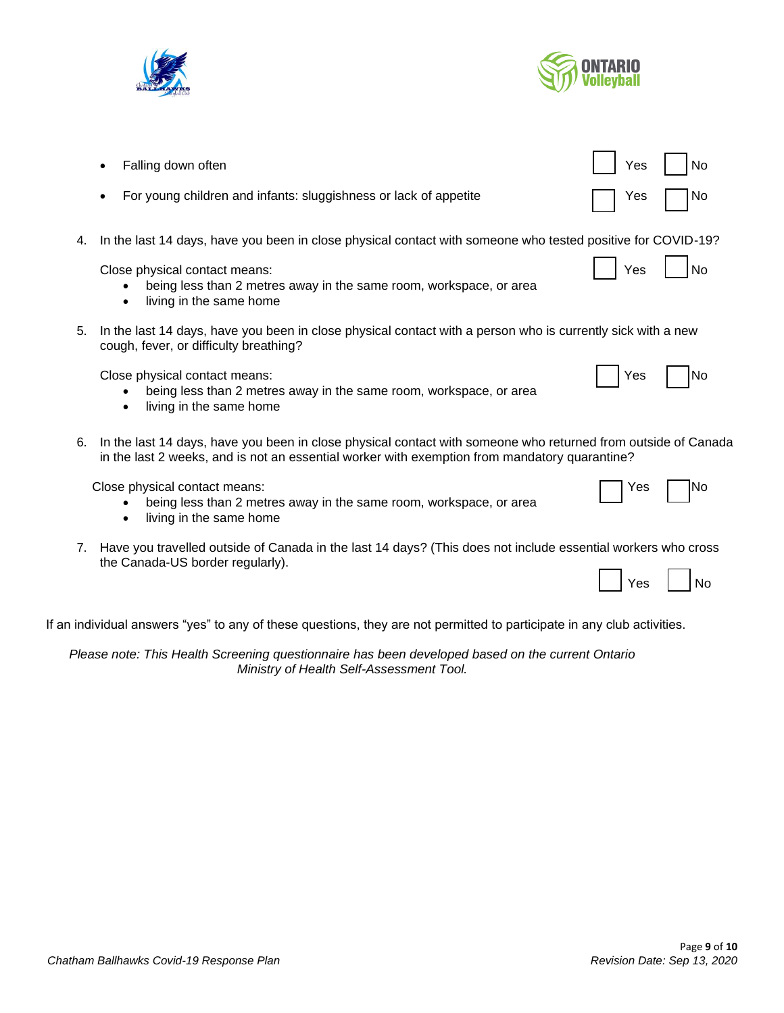



|    | Falling down often                                                                                                                                                                                             | No<br>Yes |
|----|----------------------------------------------------------------------------------------------------------------------------------------------------------------------------------------------------------------|-----------|
|    | For young children and infants: sluggishness or lack of appetite                                                                                                                                               | No<br>Yes |
| 4. | In the last 14 days, have you been in close physical contact with someone who tested positive for COVID-19?                                                                                                    |           |
|    | Close physical contact means:<br>being less than 2 metres away in the same room, workspace, or area<br>living in the same home<br>٠                                                                            | Yes<br>No |
| 5. | In the last 14 days, have you been in close physical contact with a person who is currently sick with a new<br>cough, fever, or difficulty breathing?                                                          |           |
|    | Close physical contact means:<br>being less than 2 metres away in the same room, workspace, or area<br>$\bullet$<br>living in the same home<br>$\bullet$                                                       | No<br>Yes |
| 6. | In the last 14 days, have you been in close physical contact with someone who returned from outside of Canada<br>in the last 2 weeks, and is not an essential worker with exemption from mandatory quarantine? |           |
|    | Close physical contact means:<br>being less than 2 metres away in the same room, workspace, or area                                                                                                            | No<br>Yes |

- living in the same home
- 7. Have you travelled outside of Canada in the last 14 days? (This does not include essential workers who cross the Canada-US border regularly).  $\overline{a}$  $\overline{\phantom{0}}$

|  | ρq |  | N٥ |
|--|----|--|----|
|--|----|--|----|

If an individual answers "yes" to any of these questions, they are not permitted to participate in any club activities.

*Please note: This Health Screening questionnaire has been developed based on the current Ontario Ministry of Health Self-Assessment Tool.*